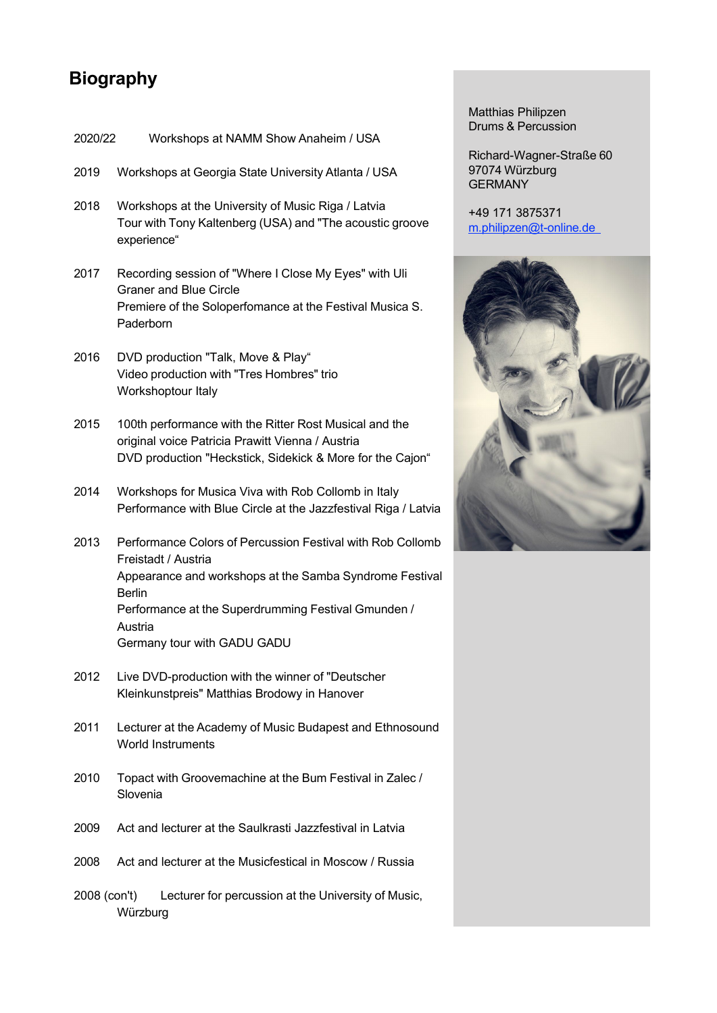## **Biography**

| 2020/22      | Workshops at NAMM Show Anaheim / USA                                                                                                                                                                                                                           |
|--------------|----------------------------------------------------------------------------------------------------------------------------------------------------------------------------------------------------------------------------------------------------------------|
| 2019         | Workshops at Georgia State University Atlanta / USA                                                                                                                                                                                                            |
| 2018         | Workshops at the University of Music Riga / Latvia<br>Tour with Tony Kaltenberg (USA) and "The acoustic groove<br>experience"                                                                                                                                  |
| 2017         | Recording session of "Where I Close My Eyes" with Uli<br><b>Graner and Blue Circle</b><br>Premiere of the Soloperfomance at the Festival Musica S.<br>Paderborn                                                                                                |
| 2016         | DVD production "Talk, Move & Play"<br>Video production with "Tres Hombres" trio<br>Workshoptour Italy                                                                                                                                                          |
| 2015         | 100th performance with the Ritter Rost Musical and the<br>original voice Patricia Prawitt Vienna / Austria<br>DVD production "Heckstick, Sidekick & More for the Cajon"                                                                                        |
| 2014         | Workshops for Musica Viva with Rob Collomb in Italy<br>Performance with Blue Circle at the Jazzfestival Riga / Latvia                                                                                                                                          |
| 2013         | Performance Colors of Percussion Festival with Rob Collomb<br>Freistadt / Austria<br>Appearance and workshops at the Samba Syndrome Festival<br><b>Berlin</b><br>Performance at the Superdrumming Festival Gmunden /<br>Austria<br>Germany tour with GADU GADU |
| 2012         | Live DVD-production with the winner of "Deutscher<br>Kleinkunstpreis" Matthias Brodowy in Hanover                                                                                                                                                              |
| 2011         | Lecturer at the Academy of Music Budapest and Ethnosound<br><b>World Instruments</b>                                                                                                                                                                           |
| 2010         | Topact with Groovemachine at the Bum Festival in Zalec /<br>Slovenia                                                                                                                                                                                           |
| 2009         | Act and lecturer at the Saulkrasti Jazzfestival in Latvia                                                                                                                                                                                                      |
| 2008         | Act and lecturer at the Musicfestical in Moscow / Russia                                                                                                                                                                                                       |
| 2008 (con't) | Lecturer for percussion at the University of Music,<br>Würzburg                                                                                                                                                                                                |

Matthias Philipzen Drums & Percussion

Richard-Wagner-Straße 60 97074 Würzburg GERMANY

+49 171 3875371 m.philipzen@t-online.de